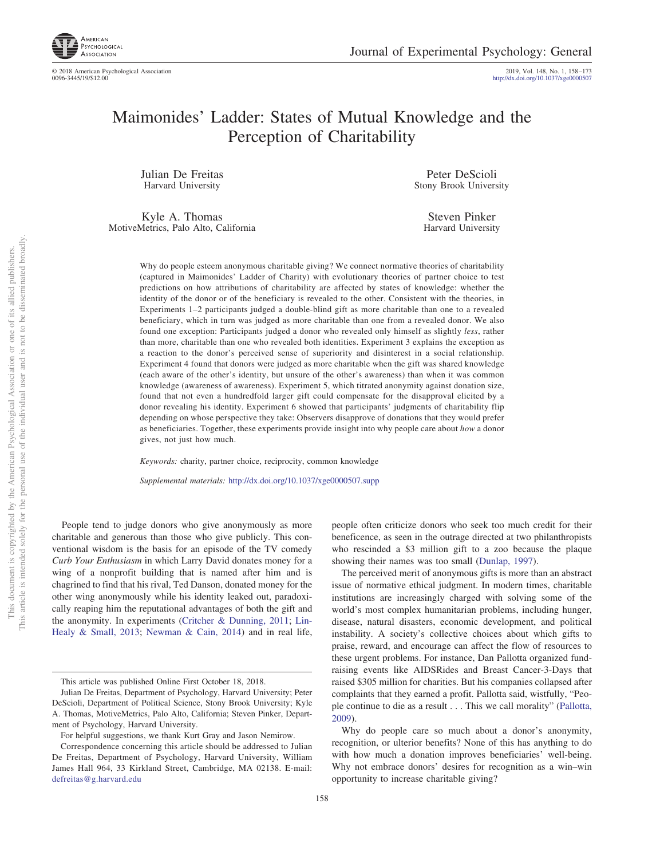

© 2018 American Psychological Association 2019, Vol. 148, No. 1, 158 –173

http://dx.doi.org/10.1037/xge0000507

# Maimonides' Ladder: States of Mutual Knowledge and the Perception of Charitability

Julian De Freitas Harvard University

Kyle A. Thomas MotiveMetrics, Palo Alto, California

Peter DeScioli Stony Brook University

Steven Pinker Harvard University

Why do people esteem anonymous charitable giving? We connect normative theories of charitability (captured in Maimonides' Ladder of Charity) with evolutionary theories of partner choice to test predictions on how attributions of charitability are affected by states of knowledge: whether the identity of the donor or of the beneficiary is revealed to the other. Consistent with the theories, in Experiments 1–2 participants judged a double-blind gift as more charitable than one to a revealed beneficiary, which in turn was judged as more charitable than one from a revealed donor. We also found one exception: Participants judged a donor who revealed only himself as slightly *less*, rather than more, charitable than one who revealed both identities. Experiment 3 explains the exception as a reaction to the donor's perceived sense of superiority and disinterest in a social relationship. Experiment 4 found that donors were judged as more charitable when the gift was shared knowledge (each aware of the other's identity, but unsure of the other's awareness) than when it was common knowledge (awareness of awareness). Experiment 5, which titrated anonymity against donation size, found that not even a hundredfold larger gift could compensate for the disapproval elicited by a donor revealing his identity. Experiment 6 showed that participants' judgments of charitability flip depending on whose perspective they take: Observers disapprove of donations that they would prefer as beneficiaries. Together, these experiments provide insight into why people care about *how* a donor gives, not just how much.

*Keywords:* charity, partner choice, reciprocity, common knowledge

*Supplemental materials:* http://dx.doi.org/10.1037/xge0000507.supp

People tend to judge donors who give anonymously as more charitable and generous than those who give publicly. This conventional wisdom is the basis for an episode of the TV comedy *Curb Your Enthusiasm* in which Larry David donates money for a wing of a nonprofit building that is named after him and is chagrined to find that his rival, Ted Danson, donated money for the other wing anonymously while his identity leaked out, paradoxically reaping him the reputational advantages of both the gift and the anonymity. In experiments (Critcher & Dunning, 2011; Lin-Healy & Small, 2013; Newman & Cain, 2014) and in real life, people often criticize donors who seek too much credit for their beneficence, as seen in the outrage directed at two philanthropists who rescinded a \$3 million gift to a zoo because the plaque showing their names was too small (Dunlap, 1997).

The perceived merit of anonymous gifts is more than an abstract issue of normative ethical judgment. In modern times, charitable institutions are increasingly charged with solving some of the world's most complex humanitarian problems, including hunger, disease, natural disasters, economic development, and political instability. A society's collective choices about which gifts to praise, reward, and encourage can affect the flow of resources to these urgent problems. For instance, Dan Pallotta organized fundraising events like AIDSRides and Breast Cancer-3-Days that raised \$305 million for charities. But his companies collapsed after complaints that they earned a profit. Pallotta said, wistfully, "People continue to die as a result... This we call morality" (Pallotta, 2009).

Why do people care so much about a donor's anonymity, recognition, or ulterior benefits? None of this has anything to do with how much a donation improves beneficiaries' well-being. Why not embrace donors' desires for recognition as a win–win opportunity to increase charitable giving?

This article was published Online First October 18, 2018.

Julian De Freitas, Department of Psychology, Harvard University; Peter DeScioli, Department of Political Science, Stony Brook University; Kyle A. Thomas, MotiveMetrics, Palo Alto, California; Steven Pinker, Department of Psychology, Harvard University.

For helpful suggestions, we thank Kurt Gray and Jason Nemirow.

Correspondence concerning this article should be addressed to Julian De Freitas, Department of Psychology, Harvard University, William James Hall 964, 33 Kirkland Street, Cambridge, MA 02138. E-mail: defreitas@g.harvard.edu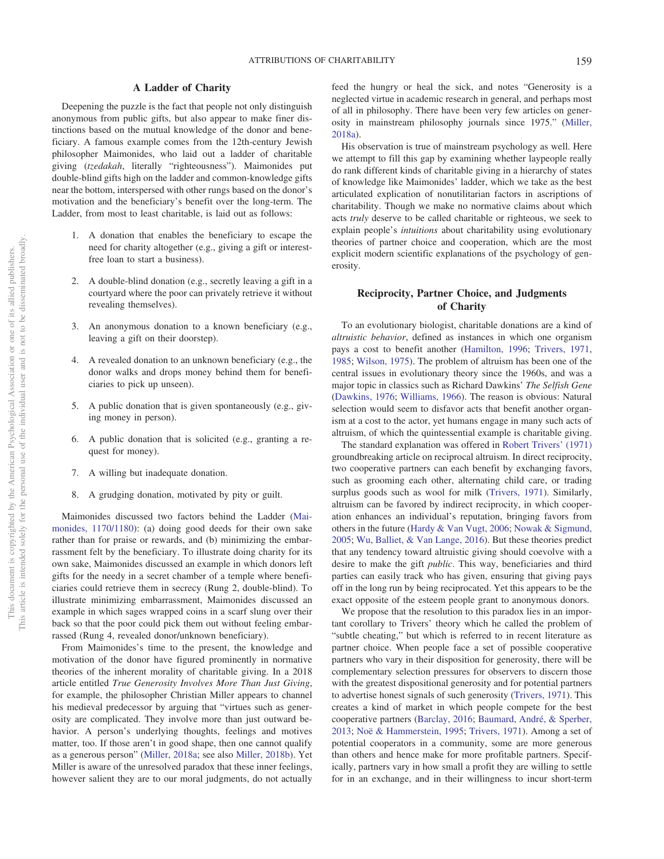## **A Ladder of Charity**

Deepening the puzzle is the fact that people not only distinguish anonymous from public gifts, but also appear to make finer distinctions based on the mutual knowledge of the donor and beneficiary. A famous example comes from the 12th-century Jewish philosopher Maimonides, who laid out a ladder of charitable giving (*tzedakah*, literally "righteousness"). Maimonides put double-blind gifts high on the ladder and common-knowledge gifts near the bottom, interspersed with other rungs based on the donor's motivation and the beneficiary's benefit over the long-term. The Ladder, from most to least charitable, is laid out as follows:

- 1. A donation that enables the beneficiary to escape the need for charity altogether (e.g., giving a gift or interestfree loan to start a business).
- 2. A double-blind donation (e.g., secretly leaving a gift in a courtyard where the poor can privately retrieve it without revealing themselves).
- 3. An anonymous donation to a known beneficiary (e.g., leaving a gift on their doorstep).
- 4. A revealed donation to an unknown beneficiary (e.g., the donor walks and drops money behind them for beneficiaries to pick up unseen).
- 5. A public donation that is given spontaneously (e.g., giving money in person).
- 6. A public donation that is solicited (e.g., granting a request for money).
- 7. A willing but inadequate donation.
- 8. A grudging donation, motivated by pity or guilt.

Maimonides discussed two factors behind the Ladder (Maimonides, 1170/1180): (a) doing good deeds for their own sake rather than for praise or rewards, and (b) minimizing the embarrassment felt by the beneficiary. To illustrate doing charity for its own sake, Maimonides discussed an example in which donors left gifts for the needy in a secret chamber of a temple where beneficiaries could retrieve them in secrecy (Rung 2, double-blind). To illustrate minimizing embarrassment, Maimonides discussed an example in which sages wrapped coins in a scarf slung over their back so that the poor could pick them out without feeling embarrassed (Rung 4, revealed donor/unknown beneficiary).

From Maimonides's time to the present, the knowledge and motivation of the donor have figured prominently in normative theories of the inherent morality of charitable giving. In a 2018 article entitled *True Generosity Involves More Than Just Giving*, for example, the philosopher Christian Miller appears to channel his medieval predecessor by arguing that "virtues such as generosity are complicated. They involve more than just outward behavior. A person's underlying thoughts, feelings and motives matter, too. If those aren't in good shape, then one cannot qualify as a generous person" (Miller, 2018a; see also Miller, 2018b). Yet Miller is aware of the unresolved paradox that these inner feelings, however salient they are to our moral judgments, do not actually feed the hungry or heal the sick, and notes "Generosity is a neglected virtue in academic research in general, and perhaps most of all in philosophy. There have been very few articles on generosity in mainstream philosophy journals since 1975." (Miller, 2018a).

His observation is true of mainstream psychology as well. Here we attempt to fill this gap by examining whether laypeople really do rank different kinds of charitable giving in a hierarchy of states of knowledge like Maimonides' ladder, which we take as the best articulated explication of nonutilitarian factors in ascriptions of charitability. Though we make no normative claims about which acts *truly* deserve to be called charitable or righteous, we seek to explain people's *intuitions* about charitability using evolutionary theories of partner choice and cooperation, which are the most explicit modern scientific explanations of the psychology of generosity.

## **Reciprocity, Partner Choice, and Judgments of Charity**

To an evolutionary biologist, charitable donations are a kind of *altruistic behavior*, defined as instances in which one organism pays a cost to benefit another (Hamilton, 1996; Trivers, 1971, 1985; Wilson, 1975). The problem of altruism has been one of the central issues in evolutionary theory since the 1960s, and was a major topic in classics such as Richard Dawkins' *The Selfish Gene* (Dawkins, 1976; Williams, 1966). The reason is obvious: Natural selection would seem to disfavor acts that benefit another organism at a cost to the actor, yet humans engage in many such acts of altruism, of which the quintessential example is charitable giving.

The standard explanation was offered in Robert Trivers' (1971) groundbreaking article on reciprocal altruism. In direct reciprocity, two cooperative partners can each benefit by exchanging favors, such as grooming each other, alternating child care, or trading surplus goods such as wool for milk (Trivers, 1971). Similarly, altruism can be favored by indirect reciprocity, in which cooperation enhances an individual's reputation, bringing favors from others in the future (Hardy & Van Vugt, 2006; Nowak & Sigmund, 2005; Wu, Balliet, & Van Lange, 2016). But these theories predict that any tendency toward altruistic giving should coevolve with a desire to make the gift *public*. This way, beneficiaries and third parties can easily track who has given, ensuring that giving pays off in the long run by being reciprocated. Yet this appears to be the exact opposite of the esteem people grant to anonymous donors.

We propose that the resolution to this paradox lies in an important corollary to Trivers' theory which he called the problem of "subtle cheating," but which is referred to in recent literature as partner choice. When people face a set of possible cooperative partners who vary in their disposition for generosity, there will be complementary selection pressures for observers to discern those with the greatest dispositional generosity and for potential partners to advertise honest signals of such generosity (Trivers, 1971). This creates a kind of market in which people compete for the best cooperative partners (Barclay, 2016; Baumard, André, & Sperber, 2013; Noë & Hammerstein, 1995; Trivers, 1971). Among a set of potential cooperators in a community, some are more generous than others and hence make for more profitable partners. Specifically, partners vary in how small a profit they are willing to settle for in an exchange, and in their willingness to incur short-term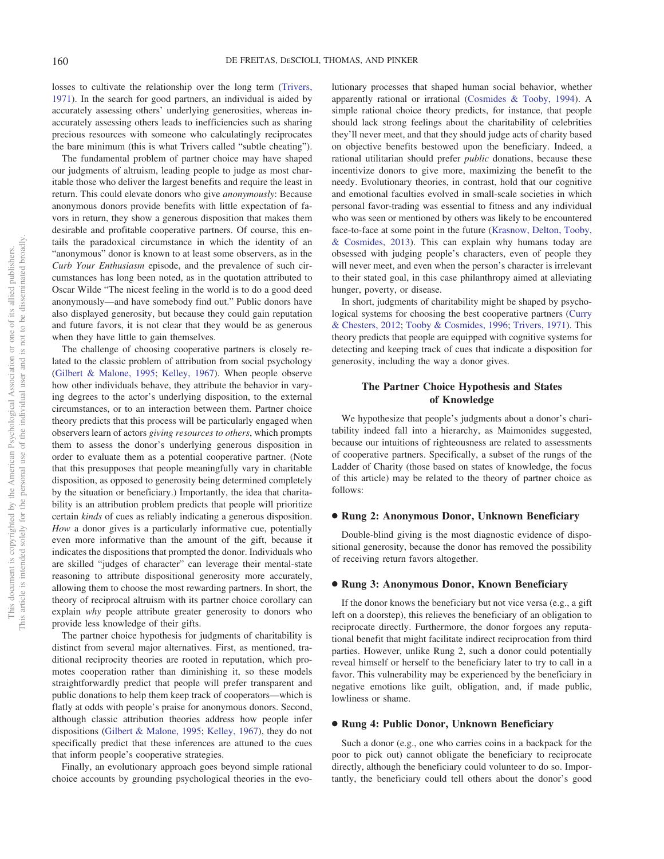losses to cultivate the relationship over the long term (Trivers, 1971). In the search for good partners, an individual is aided by accurately assessing others' underlying generosities, whereas inaccurately assessing others leads to inefficiencies such as sharing precious resources with someone who calculatingly reciprocates the bare minimum (this is what Trivers called "subtle cheating").

The fundamental problem of partner choice may have shaped our judgments of altruism, leading people to judge as most charitable those who deliver the largest benefits and require the least in return. This could elevate donors who give *anonymously*: Because anonymous donors provide benefits with little expectation of favors in return, they show a generous disposition that makes them desirable and profitable cooperative partners. Of course, this entails the paradoxical circumstance in which the identity of an "anonymous" donor is known to at least some observers, as in the *Curb Your Enthusiasm* episode, and the prevalence of such circumstances has long been noted, as in the quotation attributed to Oscar Wilde "The nicest feeling in the world is to do a good deed anonymously—and have somebody find out." Public donors have also displayed generosity, but because they could gain reputation and future favors, it is not clear that they would be as generous when they have little to gain themselves.

The challenge of choosing cooperative partners is closely related to the classic problem of attribution from social psychology (Gilbert & Malone, 1995; Kelley, 1967). When people observe how other individuals behave, they attribute the behavior in varying degrees to the actor's underlying disposition, to the external circumstances, or to an interaction between them. Partner choice theory predicts that this process will be particularly engaged when observers learn of actors *giving resources to others*, which prompts them to assess the donor's underlying generous disposition in order to evaluate them as a potential cooperative partner. (Note that this presupposes that people meaningfully vary in charitable disposition, as opposed to generosity being determined completely by the situation or beneficiary.) Importantly, the idea that charitability is an attribution problem predicts that people will prioritize certain *kinds* of cues as reliably indicating a generous disposition. *How* a donor gives is a particularly informative cue, potentially even more informative than the amount of the gift, because it indicates the dispositions that prompted the donor. Individuals who are skilled "judges of character" can leverage their mental-state reasoning to attribute dispositional generosity more accurately, allowing them to choose the most rewarding partners. In short, the theory of reciprocal altruism with its partner choice corollary can explain *why* people attribute greater generosity to donors who provide less knowledge of their gifts.

The partner choice hypothesis for judgments of charitability is distinct from several major alternatives. First, as mentioned, traditional reciprocity theories are rooted in reputation, which promotes cooperation rather than diminishing it, so these models straightforwardly predict that people will prefer transparent and public donations to help them keep track of cooperators—which is flatly at odds with people's praise for anonymous donors. Second, although classic attribution theories address how people infer dispositions (Gilbert & Malone, 1995; Kelley, 1967), they do not specifically predict that these inferences are attuned to the cues that inform people's cooperative strategies.

Finally, an evolutionary approach goes beyond simple rational choice accounts by grounding psychological theories in the evolutionary processes that shaped human social behavior, whether apparently rational or irrational (Cosmides & Tooby, 1994). A simple rational choice theory predicts, for instance, that people should lack strong feelings about the charitability of celebrities they'll never meet, and that they should judge acts of charity based on objective benefits bestowed upon the beneficiary. Indeed, a rational utilitarian should prefer *public* donations, because these incentivize donors to give more, maximizing the benefit to the needy. Evolutionary theories, in contrast, hold that our cognitive and emotional faculties evolved in small-scale societies in which personal favor-trading was essential to fitness and any individual who was seen or mentioned by others was likely to be encountered face-to-face at some point in the future (Krasnow, Delton, Tooby, & Cosmides, 2013). This can explain why humans today are obsessed with judging people's characters, even of people they will never meet, and even when the person's character is irrelevant to their stated goal, in this case philanthropy aimed at alleviating hunger, poverty, or disease.

In short, judgments of charitability might be shaped by psychological systems for choosing the best cooperative partners (Curry & Chesters, 2012; Tooby & Cosmides, 1996; Trivers, 1971). This theory predicts that people are equipped with cognitive systems for detecting and keeping track of cues that indicate a disposition for generosity, including the way a donor gives.

## **The Partner Choice Hypothesis and States of Knowledge**

We hypothesize that people's judgments about a donor's charitability indeed fall into a hierarchy, as Maimonides suggested, because our intuitions of righteousness are related to assessments of cooperative partners. Specifically, a subset of the rungs of the Ladder of Charity (those based on states of knowledge, the focus of this article) may be related to the theory of partner choice as follows:

#### ● **Rung 2: Anonymous Donor, Unknown Beneficiary**

Double-blind giving is the most diagnostic evidence of dispositional generosity, because the donor has removed the possibility of receiving return favors altogether.

## ● **Rung 3: Anonymous Donor, Known Beneficiary**

If the donor knows the beneficiary but not vice versa (e.g., a gift left on a doorstep), this relieves the beneficiary of an obligation to reciprocate directly. Furthermore, the donor forgoes any reputational benefit that might facilitate indirect reciprocation from third parties. However, unlike Rung 2, such a donor could potentially reveal himself or herself to the beneficiary later to try to call in a favor. This vulnerability may be experienced by the beneficiary in negative emotions like guilt, obligation, and, if made public, lowliness or shame.

#### ● **Rung 4: Public Donor, Unknown Beneficiary**

Such a donor (e.g., one who carries coins in a backpack for the poor to pick out) cannot obligate the beneficiary to reciprocate directly, although the beneficiary could volunteer to do so. Importantly, the beneficiary could tell others about the donor's good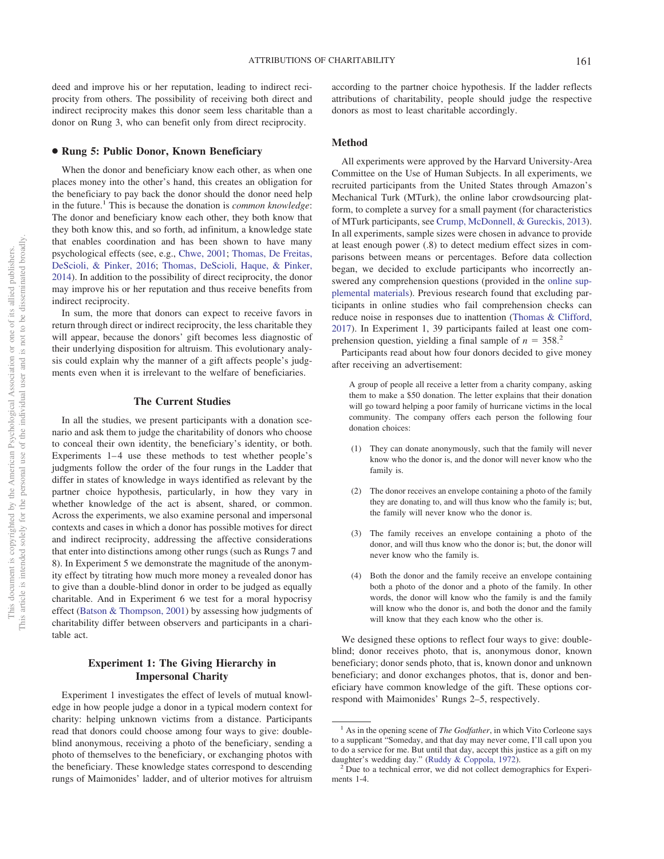deed and improve his or her reputation, leading to indirect reciprocity from others. The possibility of receiving both direct and indirect reciprocity makes this donor seem less charitable than a donor on Rung 3, who can benefit only from direct reciprocity.

#### ● **Rung 5: Public Donor, Known Beneficiary**

When the donor and beneficiary know each other, as when one places money into the other's hand, this creates an obligation for the beneficiary to pay back the donor should the donor need help in the future.1 This is because the donation is *common knowledge*: The donor and beneficiary know each other, they both know that they both know this, and so forth, ad infinitum, a knowledge state that enables coordination and has been shown to have many psychological effects (see, e.g., Chwe, 2001; Thomas, De Freitas, DeScioli, & Pinker, 2016; Thomas, DeScioli, Haque, & Pinker, 2014). In addition to the possibility of direct reciprocity, the donor may improve his or her reputation and thus receive benefits from indirect reciprocity.

In sum, the more that donors can expect to receive favors in return through direct or indirect reciprocity, the less charitable they will appear, because the donors' gift becomes less diagnostic of their underlying disposition for altruism. This evolutionary analysis could explain why the manner of a gift affects people's judgments even when it is irrelevant to the welfare of beneficiaries.

## **The Current Studies**

In all the studies, we present participants with a donation scenario and ask them to judge the charitability of donors who choose to conceal their own identity, the beneficiary's identity, or both. Experiments  $1-4$  use these methods to test whether people's judgments follow the order of the four rungs in the Ladder that differ in states of knowledge in ways identified as relevant by the partner choice hypothesis, particularly, in how they vary in whether knowledge of the act is absent, shared, or common. Across the experiments, we also examine personal and impersonal contexts and cases in which a donor has possible motives for direct and indirect reciprocity, addressing the affective considerations that enter into distinctions among other rungs (such as Rungs 7 and 8). In Experiment 5 we demonstrate the magnitude of the anonymity effect by titrating how much more money a revealed donor has to give than a double-blind donor in order to be judged as equally charitable. And in Experiment 6 we test for a moral hypocrisy effect (Batson & Thompson, 2001) by assessing how judgments of charitability differ between observers and participants in a charitable act.

## **Experiment 1: The Giving Hierarchy in Impersonal Charity**

Experiment 1 investigates the effect of levels of mutual knowledge in how people judge a donor in a typical modern context for charity: helping unknown victims from a distance. Participants read that donors could choose among four ways to give: doubleblind anonymous, receiving a photo of the beneficiary, sending a photo of themselves to the beneficiary, or exchanging photos with the beneficiary. These knowledge states correspond to descending rungs of Maimonides' ladder, and of ulterior motives for altruism according to the partner choice hypothesis. If the ladder reflects attributions of charitability, people should judge the respective donors as most to least charitable accordingly.

## **Method**

All experiments were approved by the Harvard University-Area Committee on the Use of Human Subjects. In all experiments, we recruited participants from the United States through Amazon's Mechanical Turk (MTurk), the online labor crowdsourcing platform, to complete a survey for a small payment (for characteristics of MTurk participants, see Crump, McDonnell, & Gureckis, 2013). In all experiments, sample sizes were chosen in advance to provide at least enough power (.8) to detect medium effect sizes in comparisons between means or percentages. Before data collection began, we decided to exclude participants who incorrectly answered any comprehension questions (provided in the online supplemental materials). Previous research found that excluding participants in online studies who fail comprehension checks can reduce noise in responses due to inattention (Thomas & Clifford, 2017). In Experiment 1, 39 participants failed at least one comprehension question, yielding a final sample of  $n = 358$ <sup>2</sup>

Participants read about how four donors decided to give money after receiving an advertisement:

A group of people all receive a letter from a charity company, asking them to make a \$50 donation. The letter explains that their donation will go toward helping a poor family of hurricane victims in the local community. The company offers each person the following four donation choices:

- (1) They can donate anonymously, such that the family will never know who the donor is, and the donor will never know who the family is.
- (2) The donor receives an envelope containing a photo of the family they are donating to, and will thus know who the family is; but, the family will never know who the donor is.
- (3) The family receives an envelope containing a photo of the donor, and will thus know who the donor is; but, the donor will never know who the family is.
- (4) Both the donor and the family receive an envelope containing both a photo of the donor and a photo of the family. In other words, the donor will know who the family is and the family will know who the donor is, and both the donor and the family will know that they each know who the other is.

We designed these options to reflect four ways to give: doubleblind; donor receives photo, that is, anonymous donor, known beneficiary; donor sends photo, that is, known donor and unknown beneficiary; and donor exchanges photos, that is, donor and beneficiary have common knowledge of the gift. These options correspond with Maimonides' Rungs 2–5, respectively.

<sup>&</sup>lt;sup>1</sup> As in the opening scene of *The Godfather*, in which Vito Corleone says to a supplicant "Someday, and that day may never come, I'll call upon you to do a service for me. But until that day, accept this justice as a gift on my daughter's wedding day." (Ruddy & Coppola, 1972).

 $<sup>2</sup>$  Due to a technical error, we did not collect demographics for Experi-</sup> ments 1-4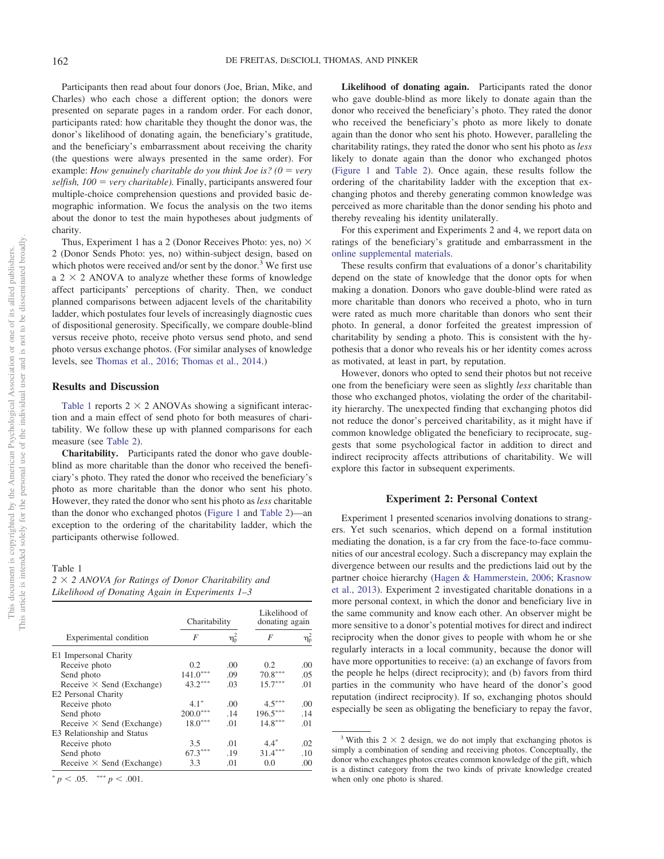Participants then read about four donors (Joe, Brian, Mike, and Charles) who each chose a different option; the donors were presented on separate pages in a random order. For each donor, participants rated: how charitable they thought the donor was, the donor's likelihood of donating again, the beneficiary's gratitude, and the beneficiary's embarrassment about receiving the charity (the questions were always presented in the same order). For example: *How genuinely charitable do you think Joe is?*  $(0 = \text{very})$ *selfish, 100* = *very charitable*). Finally, participants answered four multiple-choice comprehension questions and provided basic demographic information. We focus the analysis on the two items about the donor to test the main hypotheses about judgments of charity.

Thus, Experiment 1 has a 2 (Donor Receives Photo: yes, no)  $\times$ 2 (Donor Sends Photo: yes, no) within-subject design, based on which photos were received and/or sent by the donor.<sup>3</sup> We first use a  $2 \times 2$  ANOVA to analyze whether these forms of knowledge affect participants' perceptions of charity. Then, we conduct planned comparisons between adjacent levels of the charitability ladder, which postulates four levels of increasingly diagnostic cues of dispositional generosity. Specifically, we compare double-blind versus receive photo, receive photo versus send photo, and send photo versus exchange photos. (For similar analyses of knowledge levels, see Thomas et al., 2016; Thomas et al., 2014.)

## **Results and Discussion**

Table 1 reports  $2 \times 2$  ANOVAs showing a significant interaction and a main effect of send photo for both measures of charitability. We follow these up with planned comparisons for each measure (see Table 2).

**Charitability.** Participants rated the donor who gave doubleblind as more charitable than the donor who received the beneficiary's photo. They rated the donor who received the beneficiary's photo as more charitable than the donor who sent his photo. However, they rated the donor who sent his photo as *less* charitable than the donor who exchanged photos (Figure 1 and Table 2)—an exception to the ordering of the charitability ladder, which the participants otherwise followed.

#### Table 1

*2* " *2 ANOVA for Ratings of Donor Charitability and Likelihood of Donating Again in Experiments 1–3*

|                                  | Charitability | Likelihood of<br>donating again |            |                  |
|----------------------------------|---------------|---------------------------------|------------|------------------|
| Experimental condition           | F             | $\eta_{\rm p}^2$                | F          | $\eta_{\rm p}^2$ |
| E1 Impersonal Charity            |               |                                 |            |                  |
| Receive photo                    | 0.2           | .00                             | 0.2        | .00.             |
| Send photo                       | $141.0***$    | .09                             | $70.8***$  | .05              |
| Receive $\times$ Send (Exchange) | $43.2***$     | .03                             | $15.7***$  | .01              |
| E <sub>2</sub> Personal Charity  |               |                                 |            |                  |
| Receive photo                    | $4.1*$        | 00                              | $4.5***$   | .00.             |
| Send photo                       | $200.0***$    | .14                             | $196.5***$ | .14              |
| Receive $\times$ Send (Exchange) | $18.0***$     | .01                             | $14.8***$  | .01              |
| E3 Relationship and Status       |               |                                 |            |                  |
| Receive photo                    | 3.5           | .01                             | $4.4*$     | .02              |
| Send photo                       | $67.3***$     | .19                             | $31.4***$  | .10              |
| Receive $\times$ Send (Exchange) | 3.3           | .01                             | 0.0        | .00.             |

 $p < .05.$  \*\*\*  $p < .001.$ 

**Likelihood of donating again.** Participants rated the donor who gave double-blind as more likely to donate again than the donor who received the beneficiary's photo. They rated the donor who received the beneficiary's photo as more likely to donate again than the donor who sent his photo. However, paralleling the charitability ratings, they rated the donor who sent his photo as *less* likely to donate again than the donor who exchanged photos (Figure 1 and Table 2). Once again, these results follow the ordering of the charitability ladder with the exception that exchanging photos and thereby generating common knowledge was perceived as more charitable than the donor sending his photo and thereby revealing his identity unilaterally.

For this experiment and Experiments 2 and 4, we report data on ratings of the beneficiary's gratitude and embarrassment in the online supplemental materials.

These results confirm that evaluations of a donor's charitability depend on the state of knowledge that the donor opts for when making a donation. Donors who gave double-blind were rated as more charitable than donors who received a photo, who in turn were rated as much more charitable than donors who sent their photo. In general, a donor forfeited the greatest impression of charitability by sending a photo. This is consistent with the hypothesis that a donor who reveals his or her identity comes across as motivated, at least in part, by reputation.

However, donors who opted to send their photos but not receive one from the beneficiary were seen as slightly *less* charitable than those who exchanged photos, violating the order of the charitability hierarchy. The unexpected finding that exchanging photos did not reduce the donor's perceived charitability, as it might have if common knowledge obligated the beneficiary to reciprocate, suggests that some psychological factor in addition to direct and indirect reciprocity affects attributions of charitability. We will explore this factor in subsequent experiments.

## **Experiment 2: Personal Context**

Experiment 1 presented scenarios involving donations to strangers. Yet such scenarios, which depend on a formal institution mediating the donation, is a far cry from the face-to-face communities of our ancestral ecology. Such a discrepancy may explain the divergence between our results and the predictions laid out by the partner choice hierarchy (Hagen & Hammerstein, 2006; Krasnow et al., 2013). Experiment 2 investigated charitable donations in a more personal context, in which the donor and beneficiary live in the same community and know each other. An observer might be more sensitive to a donor's potential motives for direct and indirect reciprocity when the donor gives to people with whom he or she regularly interacts in a local community, because the donor will have more opportunities to receive: (a) an exchange of favors from the people he helps (direct reciprocity); and (b) favors from third parties in the community who have heard of the donor's good reputation (indirect reciprocity). If so, exchanging photos should especially be seen as obligating the beneficiary to repay the favor,

<sup>&</sup>lt;sup>3</sup> With this  $2 \times 2$  design, we do not imply that exchanging photos is simply a combination of sending and receiving photos. Conceptually, the donor who exchanges photos creates common knowledge of the gift, which is a distinct category from the two kinds of private knowledge created when only one photo is shared.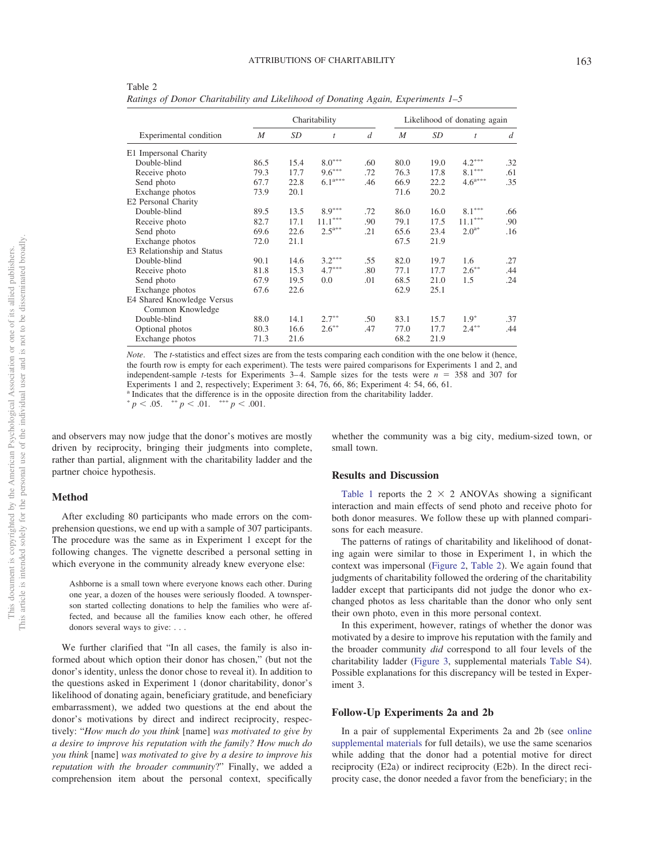|                            |                  |      | Charitability         | Likelihood of donating again |                  |      |                       |                |
|----------------------------|------------------|------|-----------------------|------------------------------|------------------|------|-----------------------|----------------|
| Experimental condition     | $\boldsymbol{M}$ | SD   | $\mathfrak{t}$        | $\overline{d}$               | $\boldsymbol{M}$ | SD   | t                     | $\overline{d}$ |
| E1 Impersonal Charity      |                  |      |                       |                              |                  |      |                       |                |
| Double-blind               | 86.5             | 15.4 | $8.0^{\ast\ast\ast}$  | .60                          | 80.0             | 19.0 | $4.2***$              | .32            |
| Receive photo              | 79.3             | 17.7 | $9.6***$              | .72                          | 76.3             | 17.8 | $8.1***$              | .61            |
| Send photo                 | 67.7             | 22.8 | $6.1^{\mathrm{a***}}$ | .46                          | 66.9             | 22.2 | $4.6^{\mathrm{a***}}$ | .35            |
| Exchange photos            | 73.9             | 20.1 |                       |                              | 71.6             | 20.2 |                       |                |
| E2 Personal Charity        |                  |      |                       |                              |                  |      |                       |                |
| Double-blind               | 89.5             | 13.5 | $8.9***$              | .72                          | 86.0             | 16.0 | $8.1^{\ast\ast\ast}$  | .66            |
| Receive photo              | 82.7             | 17.1 | $11.1***$             | .90                          | 79.1             | 17.5 | $11.1***$             | .90            |
| Send photo                 | 69.6             | 22.6 | $2.5^{a**}$           | .21                          | 65.6             | 23.4 | $2.0^{a*}$            | .16            |
| Exchange photos            | 72.0             | 21.1 |                       |                              | 67.5             | 21.9 |                       |                |
| E3 Relationship and Status |                  |      |                       |                              |                  |      |                       |                |
| Double-blind               | 90.1             | 14.6 | $3.2***$              | .55                          | 82.0             | 19.7 | 1.6                   | .27            |
| Receive photo              | 81.8             | 15.3 | $4.7***$              | .80                          | 77.1             | 17.7 | $2.6***$              | .44            |
| Send photo                 | 67.9             | 19.5 | 0.0                   | .01                          | 68.5             | 21.0 | 1.5                   | .24            |
| Exchange photos            | 67.6             | 22.6 |                       |                              | 62.9             | 25.1 |                       |                |
| E4 Shared Knowledge Versus |                  |      |                       |                              |                  |      |                       |                |
| Common Knowledge           |                  |      |                       |                              |                  |      |                       |                |
| Double-blind               | 88.0             | 14.1 | $2.7***$              | .50                          | 83.1             | 15.7 | $1.9*$                | .37            |
| Optional photos            | 80.3             | 16.6 | $2.6***$              | .47                          | 77.0             | 17.7 | $2.4***$              | .44            |
| Exchange photos            | 71.3             | 21.6 |                       |                              | 68.2             | 21.9 |                       |                |

Table 2 *Ratings of Donor Charitability and Likelihood of Donating Again, Experiments 1–5*

*Note*. The *t*-statistics and effect sizes are from the tests comparing each condition with the one below it (hence, the fourth row is empty for each experiment). The tests were paired comparisons for Experiments 1 and 2, and independent-sample *t*-tests for Experiments 3–4. Sample sizes for the tests were  $n = 358$  and 307 for Experiments 1 and 2, respectively; Experiment 3: 64, 76, 66, 86; Experiment 4: 54, 66, 61. <sup>a</sup> Indicates that the difference is in the opposite direction from the charitability ladder.

 $p < .05.$   $\longrightarrow^* p < .01.$   $\longrightarrow^* p < .001.$ 

and observers may now judge that the donor's motives are mostly driven by reciprocity, bringing their judgments into complete, rather than partial, alignment with the charitability ladder and the partner choice hypothesis.

## **Method**

After excluding 80 participants who made errors on the comprehension questions, we end up with a sample of 307 participants. The procedure was the same as in Experiment 1 except for the following changes. The vignette described a personal setting in which everyone in the community already knew everyone else:

Ashborne is a small town where everyone knows each other. During one year, a dozen of the houses were seriously flooded. A townsperson started collecting donations to help the families who were affected, and because all the families know each other, he offered donors several ways to give:...

We further clarified that "In all cases, the family is also informed about which option their donor has chosen," (but not the donor's identity, unless the donor chose to reveal it). In addition to the questions asked in Experiment 1 (donor charitability, donor's likelihood of donating again, beneficiary gratitude, and beneficiary embarrassment), we added two questions at the end about the donor's motivations by direct and indirect reciprocity, respectively: "*How much do you think* [name] *was motivated to give by a desire to improve his reputation with the family? How much do you think* [name] *was motivated to give by a desire to improve his reputation with the broader community*?" Finally, we added a comprehension item about the personal context, specifically

whether the community was a big city, medium-sized town, or small town.

## **Results and Discussion**

Table 1 reports the  $2 \times 2$  ANOVAs showing a significant interaction and main effects of send photo and receive photo for both donor measures. We follow these up with planned comparisons for each measure.

The patterns of ratings of charitability and likelihood of donating again were similar to those in Experiment 1, in which the context was impersonal (Figure 2, Table 2). We again found that judgments of charitability followed the ordering of the charitability ladder except that participants did not judge the donor who exchanged photos as less charitable than the donor who only sent their own photo, even in this more personal context.

In this experiment, however, ratings of whether the donor was motivated by a desire to improve his reputation with the family and the broader community *did* correspond to all four levels of the charitability ladder (Figure 3, supplemental materials Table S4). Possible explanations for this discrepancy will be tested in Experiment 3.

#### **Follow-Up Experiments 2a and 2b**

In a pair of supplemental Experiments 2a and 2b (see online supplemental materials for full details), we use the same scenarios while adding that the donor had a potential motive for direct reciprocity (E2a) or indirect reciprocity (E2b). In the direct reciprocity case, the donor needed a favor from the beneficiary; in the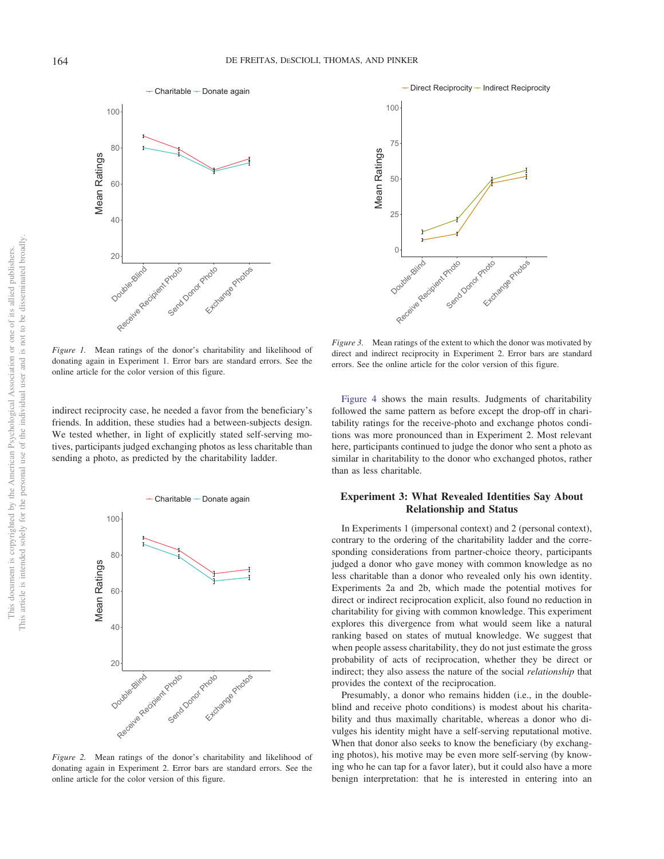This document is copyrighted by the American Psychological Association or one of its allied publishers. This article is intended solely for the personal use of the individual user and is not to be disseminated broadly.

This article is intended solely for the personal use of the individual user and is not to be disseminated broadly. This document is copyrighted by the American Psychological Association or one of its allied publishers.



*Figure 1.* Mean ratings of the donor's charitability and likelihood of donating again in Experiment 1. Error bars are standard errors. See the online article for the color version of this figure.

indirect reciprocity case, he needed a favor from the beneficiary's friends. In addition, these studies had a between-subjects design. We tested whether, in light of explicitly stated self-serving motives, participants judged exchanging photos as less charitable than sending a photo, as predicted by the charitability ladder.



*Figure 2.* Mean ratings of the donor's charitability and likelihood of donating again in Experiment 2. Error bars are standard errors. See the online article for the color version of this figure.



*Figure 3.* Mean ratings of the extent to which the donor was motivated by direct and indirect reciprocity in Experiment 2. Error bars are standard errors. See the online article for the color version of this figure.

Figure 4 shows the main results. Judgments of charitability followed the same pattern as before except the drop-off in charitability ratings for the receive-photo and exchange photos conditions was more pronounced than in Experiment 2. Most relevant here, participants continued to judge the donor who sent a photo as similar in charitability to the donor who exchanged photos, rather than as less charitable.

## **Experiment 3: What Revealed Identities Say About Relationship and Status**

In Experiments 1 (impersonal context) and 2 (personal context), contrary to the ordering of the charitability ladder and the corresponding considerations from partner-choice theory, participants judged a donor who gave money with common knowledge as no less charitable than a donor who revealed only his own identity. Experiments 2a and 2b, which made the potential motives for direct or indirect reciprocation explicit, also found no reduction in charitability for giving with common knowledge. This experiment explores this divergence from what would seem like a natural ranking based on states of mutual knowledge. We suggest that when people assess charitability, they do not just estimate the gross probability of acts of reciprocation, whether they be direct or indirect; they also assess the nature of the social *relationship* that provides the context of the reciprocation.

Presumably, a donor who remains hidden (i.e., in the doubleblind and receive photo conditions) is modest about his charitability and thus maximally charitable, whereas a donor who divulges his identity might have a self-serving reputational motive. When that donor also seeks to know the beneficiary (by exchanging photos), his motive may be even more self-serving (by knowing who he can tap for a favor later), but it could also have a more benign interpretation: that he is interested in entering into an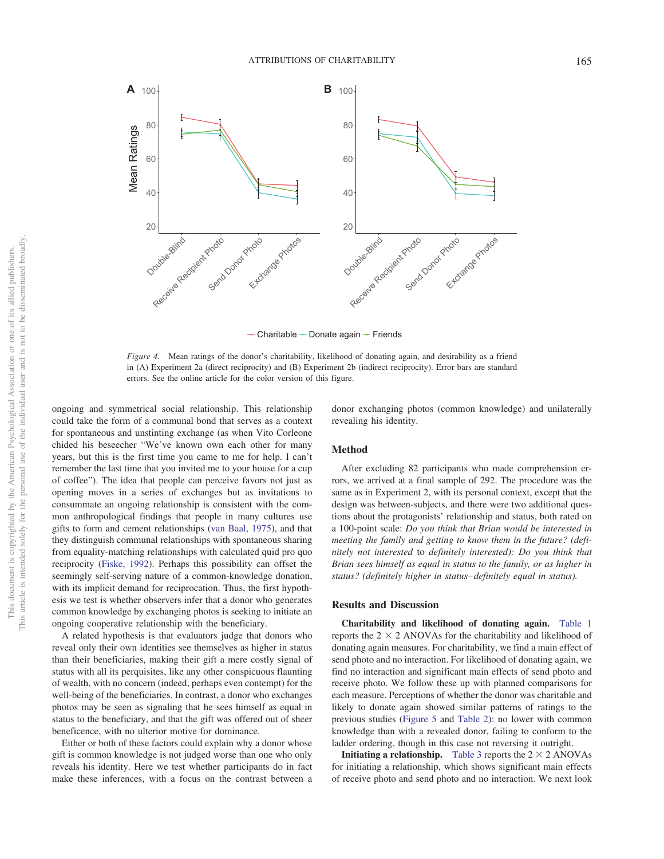

 $\div$  Charitable  $\div$  Donate again  $\div$  Friends

*Figure 4.* Mean ratings of the donor's charitability, likelihood of donating again, and desirability as a friend in (A) Experiment 2a (direct reciprocity) and (B) Experiment 2b (indirect reciprocity). Error bars are standard errors. See the online article for the color version of this figure.

ongoing and symmetrical social relationship. This relationship could take the form of a communal bond that serves as a context for spontaneous and unstinting exchange (as when Vito Corleone chided his beseecher "We've known own each other for many years, but this is the first time you came to me for help. I can't remember the last time that you invited me to your house for a cup of coffee"). The idea that people can perceive favors not just as opening moves in a series of exchanges but as invitations to consummate an ongoing relationship is consistent with the common anthropological findings that people in many cultures use gifts to form and cement relationships (van Baal, 1975), and that they distinguish communal relationships with spontaneous sharing from equality-matching relationships with calculated quid pro quo reciprocity (Fiske, 1992). Perhaps this possibility can offset the seemingly self-serving nature of a common-knowledge donation, with its implicit demand for reciprocation. Thus, the first hypothesis we test is whether observers infer that a donor who generates common knowledge by exchanging photos is seeking to initiate an ongoing cooperative relationship with the beneficiary.

A related hypothesis is that evaluators judge that donors who reveal only their own identities see themselves as higher in status than their beneficiaries, making their gift a mere costly signal of status with all its perquisites, like any other conspicuous flaunting of wealth, with no concern (indeed, perhaps even contempt) for the well-being of the beneficiaries. In contrast, a donor who exchanges photos may be seen as signaling that he sees himself as equal in status to the beneficiary, and that the gift was offered out of sheer beneficence, with no ulterior motive for dominance.

Either or both of these factors could explain why a donor whose gift is common knowledge is not judged worse than one who only reveals his identity. Here we test whether participants do in fact make these inferences, with a focus on the contrast between a

donor exchanging photos (common knowledge) and unilaterally revealing his identity.

#### **Method**

After excluding 82 participants who made comprehension errors, we arrived at a final sample of 292. The procedure was the same as in Experiment 2, with its personal context, except that the design was between-subjects, and there were two additional questions about the protagonists' relationship and status, both rated on a 100-point scale: *Do you think that Brian would be interested in meeting the family and getting to know them in the future? (definitely not interested* to *definitely interested); Do you think that Brian sees himself as equal in status to the family, or as higher in status? (definitely higher in status– definitely equal in status).*

#### **Results and Discussion**

**Charitability and likelihood of donating again.** Table 1 reports the  $2 \times 2$  ANOVAs for the charitability and likelihood of donating again measures. For charitability, we find a main effect of send photo and no interaction. For likelihood of donating again, we find no interaction and significant main effects of send photo and receive photo. We follow these up with planned comparisons for each measure. Perceptions of whether the donor was charitable and likely to donate again showed similar patterns of ratings to the previous studies (Figure 5 and Table 2): no lower with common knowledge than with a revealed donor, failing to conform to the ladder ordering, though in this case not reversing it outright.

**Initiating a relationship.** Table 3 reports the  $2 \times 2$  ANOVAs for initiating a relationship, which shows significant main effects of receive photo and send photo and no interaction. We next look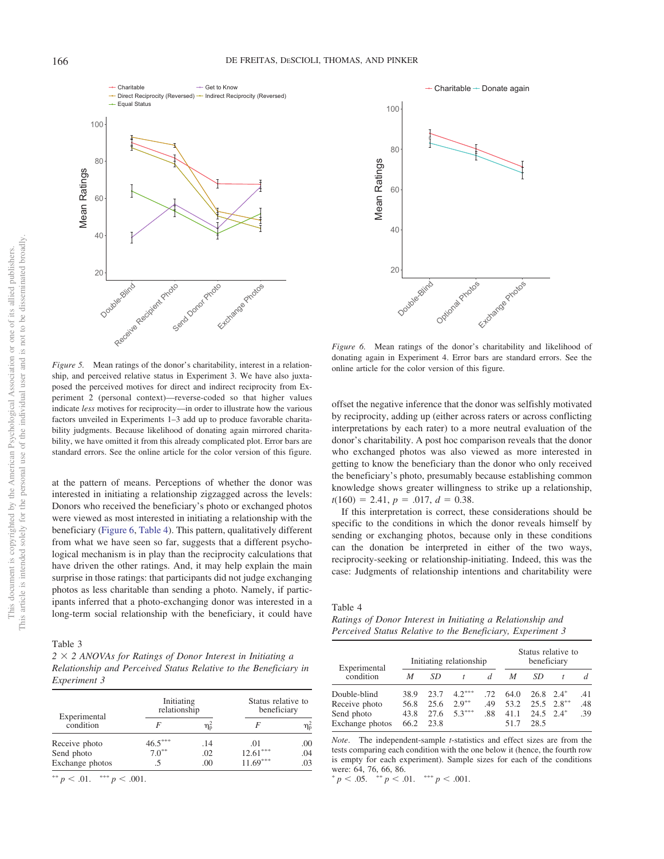Charitable Direct Reciprocity (Reversed) - Indirect Reciprocity (Reversed) Get to Know



*Figure 5.* Mean ratings of the donor's charitability, interest in a relationship, and perceived relative status in Experiment 3. We have also juxtaposed the perceived motives for direct and indirect reciprocity from Experiment 2 (personal context)—reverse-coded so that higher values indicate *less* motives for reciprocity—in order to illustrate how the various factors unveiled in Experiments 1–3 add up to produce favorable charitability judgments. Because likelihood of donating again mirrored charitability, we have omitted it from this already complicated plot. Error bars are standard errors. See the online article for the color version of this figure.

at the pattern of means. Perceptions of whether the donor was interested in initiating a relationship zigzagged across the levels: Donors who received the beneficiary's photo or exchanged photos were viewed as most interested in initiating a relationship with the beneficiary (Figure 6, Table 4). This pattern, qualitatively different from what we have seen so far, suggests that a different psychological mechanism is in play than the reciprocity calculations that have driven the other ratings. And, it may help explain the main surprise in those ratings: that participants did not judge exchanging photos as less charitable than sending a photo. Namely, if participants inferred that a photo-exchanging donor was interested in a long-term social relationship with the beneficiary, it could have

Table 3

*2* " *2 ANOVAs for Ratings of Donor Interest in Initiating a Relationship and Perceived Status Relative to the Beneficiary in Experiment 3*

| Experimental    | Initiating<br>relationship |     | Status relative to<br>beneficiary |     |  |
|-----------------|----------------------------|-----|-----------------------------------|-----|--|
| condition       |                            | ηҕ  |                                   | η՞  |  |
| Receive photo   | $46.5***$                  | .14 | .01                               | .00 |  |
| Send photo      | $7.0^{**}$                 | .02 | $12.61***$                        | .04 |  |
| Exchange photos |                            | .00 | $11.69***$                        | .03 |  |

 $^{\ast\ast} p < .01.$   $^{\ast\ast\ast} p < .001.$ 



*Figure 6.* Mean ratings of the donor's charitability and likelihood of donating again in Experiment 4. Error bars are standard errors. See the online article for the color version of this figure.

offset the negative inference that the donor was selfishly motivated by reciprocity, adding up (either across raters or across conflicting interpretations by each rater) to a more neutral evaluation of the donor's charitability. A post hoc comparison reveals that the donor who exchanged photos was also viewed as more interested in getting to know the beneficiary than the donor who only received the beneficiary's photo, presumably because establishing common knowledge shows greater willingness to strike up a relationship,  $t(160) = 2.41, p = .017, d = 0.38.$ 

If this interpretation is correct, these considerations should be specific to the conditions in which the donor reveals himself by sending or exchanging photos, because only in these conditions can the donation be interpreted in either of the two ways, reciprocity-seeking or relationship-initiating. Indeed, this was the case: Judgments of relationship intentions and charitability were

## Table 4

*Ratings of Donor Interest in Initiating a Relationship and Perceived Status Relative to the Beneficiary, Experiment 3*

|                           |      |      | Initiating relationship | Status relative to<br>beneficiary |      |                    |                     |     |
|---------------------------|------|------|-------------------------|-----------------------------------|------|--------------------|---------------------|-----|
| Experimental<br>condition | M    | SD   |                         |                                   | M    | SD                 |                     |     |
| Double-blind              | 38.9 | 23.7 | $4.2***$                | -72                               | 64.0 | $26.8$ $2.4^*$     |                     | .41 |
| Receive photo             | 56.8 | 25.6 | $2.9***$                | .49                               | 53.2 |                    | $25.5 \quad 2.8***$ | .48 |
| Send photo                | 43.8 | 27.6 | $5.3***$                | .88                               | 41.1 | $24.5 \quad 2.4^*$ |                     | .39 |
| Exchange photos           | 66.2 | 23.8 |                         |                                   |      | 28.5               |                     |     |

*Note*. The independent-sample *t*-statistics and effect sizes are from the tests comparing each condition with the one below it (hence, the fourth row is empty for each experiment). Sample sizes for each of the conditions were: 64, 76, 66, 86.

 $p < .05.$   $\longrightarrow^{*} p < .01.$   $\longrightarrow^{*} p < .001.$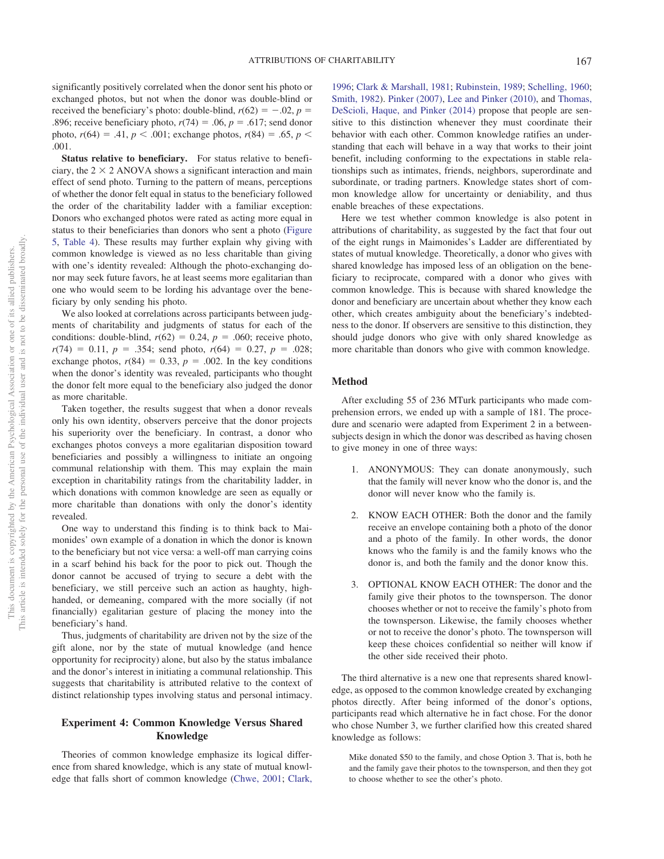significantly positively correlated when the donor sent his photo or exchanged photos, but not when the donor was double-blind or received the beneficiary's photo: double-blind,  $r(62) = -.02$ ,  $p =$ .896; receive beneficiary photo,  $r(74) = .06$ ,  $p = .617$ ; send donor photo,  $r(64) = .41$ ,  $p < .001$ ; exchange photos,  $r(84) = .65$ ,  $p <$ .001.

**Status relative to beneficiary.** For status relative to beneficiary, the  $2 \times 2$  ANOVA shows a significant interaction and main effect of send photo. Turning to the pattern of means, perceptions of whether the donor felt equal in status to the beneficiary followed the order of the charitability ladder with a familiar exception: Donors who exchanged photos were rated as acting more equal in status to their beneficiaries than donors who sent a photo (Figure 5, Table 4). These results may further explain why giving with common knowledge is viewed as no less charitable than giving with one's identity revealed: Although the photo-exchanging donor may seek future favors, he at least seems more egalitarian than one who would seem to be lording his advantage over the beneficiary by only sending his photo.

We also looked at correlations across participants between judgments of charitability and judgments of status for each of the conditions: double-blind,  $r(62) = 0.24$ ,  $p = .060$ ; receive photo,  $r(74) = 0.11$ ,  $p = .354$ ; send photo,  $r(64) = 0.27$ ,  $p = .028$ ; exchange photos,  $r(84) = 0.33$ ,  $p = .002$ . In the key conditions when the donor's identity was revealed, participants who thought the donor felt more equal to the beneficiary also judged the donor as more charitable.

Taken together, the results suggest that when a donor reveals only his own identity, observers perceive that the donor projects his superiority over the beneficiary. In contrast, a donor who exchanges photos conveys a more egalitarian disposition toward beneficiaries and possibly a willingness to initiate an ongoing communal relationship with them. This may explain the main exception in charitability ratings from the charitability ladder, in which donations with common knowledge are seen as equally or more charitable than donations with only the donor's identity revealed.

One way to understand this finding is to think back to Maimonides' own example of a donation in which the donor is known to the beneficiary but not vice versa: a well-off man carrying coins in a scarf behind his back for the poor to pick out. Though the donor cannot be accused of trying to secure a debt with the beneficiary, we still perceive such an action as haughty, highhanded, or demeaning, compared with the more socially (if not financially) egalitarian gesture of placing the money into the beneficiary's hand.

Thus, judgments of charitability are driven not by the size of the gift alone, nor by the state of mutual knowledge (and hence opportunity for reciprocity) alone, but also by the status imbalance and the donor's interest in initiating a communal relationship. This suggests that charitability is attributed relative to the context of distinct relationship types involving status and personal intimacy.

## **Experiment 4: Common Knowledge Versus Shared Knowledge**

Theories of common knowledge emphasize its logical difference from shared knowledge, which is any state of mutual knowledge that falls short of common knowledge (Chwe, 2001; Clark, 1996; Clark & Marshall, 1981; Rubinstein, 1989; Schelling, 1960; Smith, 1982). Pinker (2007), Lee and Pinker (2010), and Thomas, DeScioli, Haque, and Pinker (2014) propose that people are sensitive to this distinction whenever they must coordinate their behavior with each other. Common knowledge ratifies an understanding that each will behave in a way that works to their joint benefit, including conforming to the expectations in stable relationships such as intimates, friends, neighbors, superordinate and subordinate, or trading partners. Knowledge states short of common knowledge allow for uncertainty or deniability, and thus enable breaches of these expectations.

Here we test whether common knowledge is also potent in attributions of charitability, as suggested by the fact that four out of the eight rungs in Maimonides's Ladder are differentiated by states of mutual knowledge. Theoretically, a donor who gives with shared knowledge has imposed less of an obligation on the beneficiary to reciprocate, compared with a donor who gives with common knowledge. This is because with shared knowledge the donor and beneficiary are uncertain about whether they know each other, which creates ambiguity about the beneficiary's indebtedness to the donor. If observers are sensitive to this distinction, they should judge donors who give with only shared knowledge as more charitable than donors who give with common knowledge.

## **Method**

After excluding 55 of 236 MTurk participants who made comprehension errors, we ended up with a sample of 181. The procedure and scenario were adapted from Experiment 2 in a betweensubjects design in which the donor was described as having chosen to give money in one of three ways:

- 1. ANONYMOUS: They can donate anonymously, such that the family will never know who the donor is, and the donor will never know who the family is.
- 2. KNOW EACH OTHER: Both the donor and the family receive an envelope containing both a photo of the donor and a photo of the family. In other words, the donor knows who the family is and the family knows who the donor is, and both the family and the donor know this.
- 3. OPTIONAL KNOW EACH OTHER: The donor and the family give their photos to the townsperson. The donor chooses whether or not to receive the family's photo from the townsperson. Likewise, the family chooses whether or not to receive the donor's photo. The townsperson will keep these choices confidential so neither will know if the other side received their photo.

The third alternative is a new one that represents shared knowledge, as opposed to the common knowledge created by exchanging photos directly. After being informed of the donor's options, participants read which alternative he in fact chose. For the donor who chose Number 3, we further clarified how this created shared knowledge as follows:

Mike donated \$50 to the family, and chose Option 3. That is, both he and the family gave their photos to the townsperson, and then they got to choose whether to see the other's photo.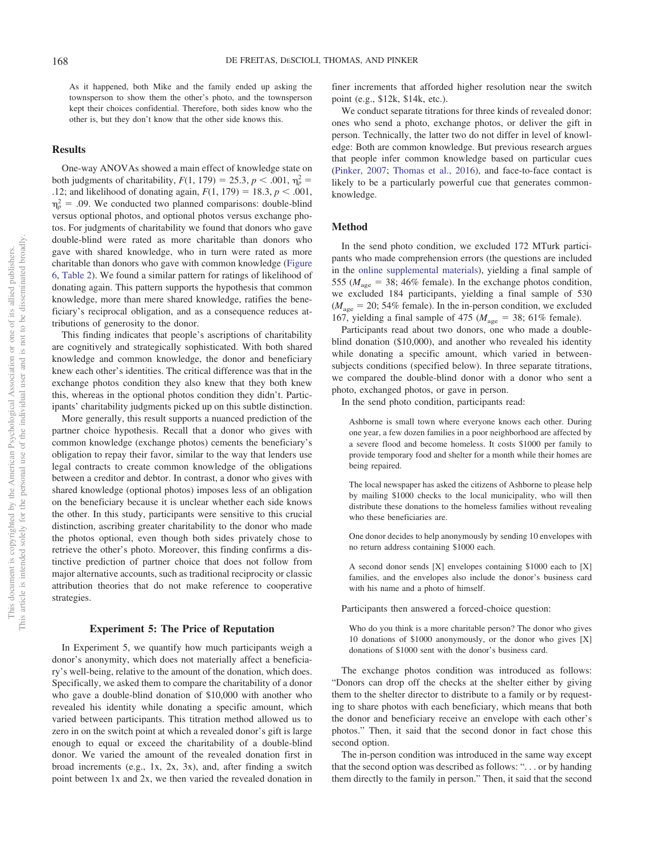As it happened, both Mike and the family ended up asking the townsperson to show them the other's photo, and the townsperson kept their choices confidential. Therefore, both sides know who the other is, but they don't know that the other side knows this.

## **Results**

One-way ANOVAs showed a main effect of knowledge state on both judgments of charitability,  $F(1, 179) = 25.3, p < .001, \eta_p^2 =$ .12; and likelihood of donating again,  $F(1, 179) = 18.3, p < .001$ ,  $\eta_p^2 = .09$ . We conducted two planned comparisons: double-blind versus optional photos, and optional photos versus exchange photos. For judgments of charitability we found that donors who gave double-blind were rated as more charitable than donors who gave with shared knowledge, who in turn were rated as more charitable than donors who gave with common knowledge (Figure 6, Table 2). We found a similar pattern for ratings of likelihood of donating again. This pattern supports the hypothesis that common knowledge, more than mere shared knowledge, ratifies the beneficiary's reciprocal obligation, and as a consequence reduces attributions of generosity to the donor.

This finding indicates that people's ascriptions of charitability are cognitively and strategically sophisticated. With both shared knowledge and common knowledge, the donor and beneficiary knew each other's identities. The critical difference was that in the exchange photos condition they also knew that they both knew this, whereas in the optional photos condition they didn't. Participants' charitability judgments picked up on this subtle distinction.

More generally, this result supports a nuanced prediction of the partner choice hypothesis. Recall that a donor who gives with common knowledge (exchange photos) cements the beneficiary's obligation to repay their favor, similar to the way that lenders use legal contracts to create common knowledge of the obligations between a creditor and debtor. In contrast, a donor who gives with shared knowledge (optional photos) imposes less of an obligation on the beneficiary because it is unclear whether each side knows the other. In this study, participants were sensitive to this crucial distinction, ascribing greater charitability to the donor who made the photos optional, even though both sides privately chose to retrieve the other's photo. Moreover, this finding confirms a distinctive prediction of partner choice that does not follow from major alternative accounts, such as traditional reciprocity or classic attribution theories that do not make reference to cooperative strategies.

#### **Experiment 5: The Price of Reputation**

In Experiment 5, we quantify how much participants weigh a donor's anonymity, which does not materially affect a beneficiary's well-being, relative to the amount of the donation, which does. Specifically, we asked them to compare the charitability of a donor who gave a double-blind donation of \$10,000 with another who revealed his identity while donating a specific amount, which varied between participants. This titration method allowed us to zero in on the switch point at which a revealed donor's gift is large enough to equal or exceed the charitability of a double-blind donor. We varied the amount of the revealed donation first in broad increments (e.g., 1x, 2x, 3x), and, after finding a switch point between 1x and 2x, we then varied the revealed donation in finer increments that afforded higher resolution near the switch point (e.g., \$12k, \$14k, etc.).

We conduct separate titrations for three kinds of revealed donor: ones who send a photo, exchange photos, or deliver the gift in person. Technically, the latter two do not differ in level of knowledge: Both are common knowledge. But previous research argues that people infer common knowledge based on particular cues (Pinker, 2007; Thomas et al., 2016), and face-to-face contact is likely to be a particularly powerful cue that generates commonknowledge.

## **Method**

In the send photo condition, we excluded 172 MTurk participants who made comprehension errors (the questions are included in the online supplemental materials), yielding a final sample of 555 ( $M_{\text{age}} = 38$ ; 46% female). In the exchange photos condition, we excluded 184 participants, yielding a final sample of 530  $(M<sub>age</sub> = 20; 54\%$  female). In the in-person condition, we excluded 167, yielding a final sample of 475 ( $M_{\text{age}} = 38$ ; 61% female).

Participants read about two donors, one who made a doubleblind donation (\$10,000), and another who revealed his identity while donating a specific amount, which varied in betweensubjects conditions (specified below). In three separate titrations, we compared the double-blind donor with a donor who sent a photo, exchanged photos, or gave in person.

In the send photo condition, participants read:

Ashborne is small town where everyone knows each other. During one year, a few dozen families in a poor neighborhood are affected by a severe flood and become homeless. It costs \$1000 per family to provide temporary food and shelter for a month while their homes are being repaired.

The local newspaper has asked the citizens of Ashborne to please help by mailing \$1000 checks to the local municipality, who will then distribute these donations to the homeless families without revealing who these beneficiaries are.

One donor decides to help anonymously by sending 10 envelopes with no return address containing \$1000 each.

A second donor sends [X] envelopes containing \$1000 each to [X] families, and the envelopes also include the donor's business card with his name and a photo of himself.

Participants then answered a forced-choice question:

Who do you think is a more charitable person? The donor who gives 10 donations of \$1000 anonymously, or the donor who gives [X] donations of \$1000 sent with the donor's business card.

The exchange photos condition was introduced as follows: "Donors can drop off the checks at the shelter either by giving them to the shelter director to distribute to a family or by requesting to share photos with each beneficiary, which means that both the donor and beneficiary receive an envelope with each other's photos." Then, it said that the second donor in fact chose this second option.

The in-person condition was introduced in the same way except that the second option was described as follows: ". . . or by handing them directly to the family in person." Then, it said that the second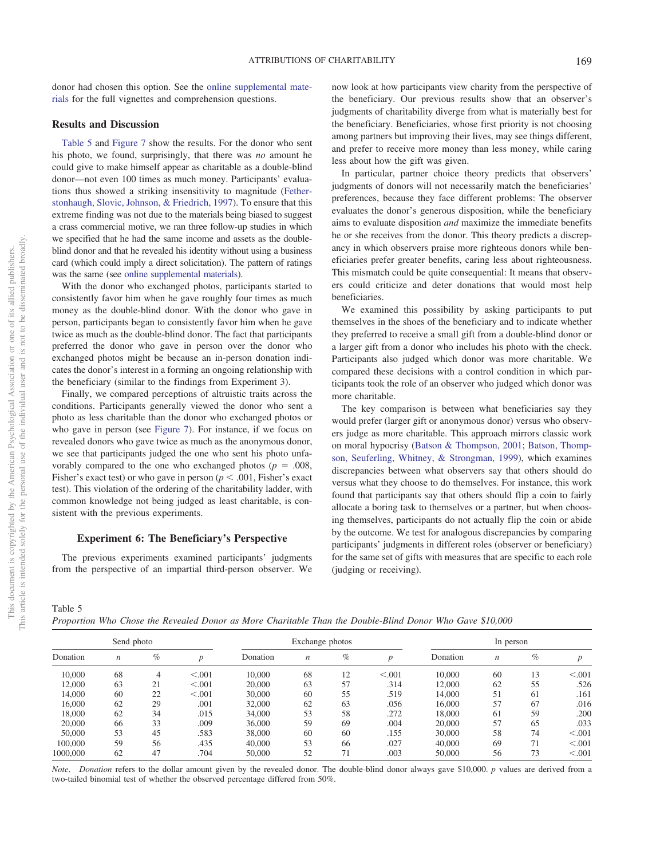donor had chosen this option. See the online supplemental materials for the full vignettes and comprehension questions.

## **Results and Discussion**

Table 5 and Figure 7 show the results. For the donor who sent his photo, we found, surprisingly, that there was *no* amount he could give to make himself appear as charitable as a double-blind donor—not even 100 times as much money. Participants' evaluations thus showed a striking insensitivity to magnitude (Fetherstonhaugh, Slovic, Johnson, & Friedrich, 1997). To ensure that this extreme finding was not due to the materials being biased to suggest a crass commercial motive, we ran three follow-up studies in which we specified that he had the same income and assets as the doubleblind donor and that he revealed his identity without using a business card (which could imply a direct solicitation). The pattern of ratings was the same (see online supplemental materials).

With the donor who exchanged photos, participants started to consistently favor him when he gave roughly four times as much money as the double-blind donor. With the donor who gave in person, participants began to consistently favor him when he gave twice as much as the double-blind donor. The fact that participants preferred the donor who gave in person over the donor who exchanged photos might be because an in-person donation indicates the donor's interest in a forming an ongoing relationship with the beneficiary (similar to the findings from Experiment 3).

Finally, we compared perceptions of altruistic traits across the conditions. Participants generally viewed the donor who sent a photo as less charitable than the donor who exchanged photos or who gave in person (see Figure 7). For instance, if we focus on revealed donors who gave twice as much as the anonymous donor, we see that participants judged the one who sent his photo unfavorably compared to the one who exchanged photos ( $p = .008$ , Fisher's exact test) or who gave in person ( $p < .001$ , Fisher's exact test). This violation of the ordering of the charitability ladder, with common knowledge not being judged as least charitable, is consistent with the previous experiments.

## **Experiment 6: The Beneficiary's Perspective**

The previous experiments examined participants' judgments from the perspective of an impartial third-person observer. We

now look at how participants view charity from the perspective of the beneficiary. Our previous results show that an observer's judgments of charitability diverge from what is materially best for the beneficiary. Beneficiaries, whose first priority is not choosing among partners but improving their lives, may see things different, and prefer to receive more money than less money, while caring less about how the gift was given.

In particular, partner choice theory predicts that observers' judgments of donors will not necessarily match the beneficiaries' preferences, because they face different problems: The observer evaluates the donor's generous disposition, while the beneficiary aims to evaluate disposition *and* maximize the immediate benefits he or she receives from the donor. This theory predicts a discrepancy in which observers praise more righteous donors while beneficiaries prefer greater benefits, caring less about righteousness. This mismatch could be quite consequential: It means that observers could criticize and deter donations that would most help beneficiaries.

We examined this possibility by asking participants to put themselves in the shoes of the beneficiary and to indicate whether they preferred to receive a small gift from a double-blind donor or a larger gift from a donor who includes his photo with the check. Participants also judged which donor was more charitable. We compared these decisions with a control condition in which participants took the role of an observer who judged which donor was more charitable.

The key comparison is between what beneficiaries say they would prefer (larger gift or anonymous donor) versus who observers judge as more charitable. This approach mirrors classic work on moral hypocrisy (Batson & Thompson, 2001; Batson, Thompson, Seuferling, Whitney, & Strongman, 1999), which examines discrepancies between what observers say that others should do versus what they choose to do themselves. For instance, this work found that participants say that others should flip a coin to fairly allocate a boring task to themselves or a partner, but when choosing themselves, participants do not actually flip the coin or abide by the outcome. We test for analogous discrepancies by comparing participants' judgments in different roles (observer or beneficiary) for the same set of gifts with measures that are specific to each role (judging or receiving).

## Table 5

*Proportion Who Chose the Revealed Donor as More Charitable Than the Double-Blind Donor Who Gave \$10,000*

| Send photo |                  |      |         |          | Exchange photos  |      |         | In person |                  |      |         |
|------------|------------------|------|---------|----------|------------------|------|---------|-----------|------------------|------|---------|
| Donation   | $\boldsymbol{n}$ | $\%$ | n       | Donation | $\boldsymbol{n}$ | $\%$ | n       | Donation  | $\boldsymbol{n}$ | $\%$ |         |
| 10,000     | 68               | 4    | < 0.001 | 10,000   | 68               | 12   | < 0.001 | 10,000    | 60               | 13   | < 0.001 |
| 12,000     | 63               | 21   | < 0.001 | 20,000   | 63               | 57   | .314    | 12,000    | 62               | 55   | .526    |
| 14,000     | 60               | 22   | < 0.001 | 30,000   | 60               | 55   | .519    | 14,000    | 51               | 61   | .161    |
| 16,000     | 62               | 29   | .001    | 32,000   | 62               | 63   | .056    | 16,000    | 57               | 67   | .016    |
| 18,000     | 62               | 34   | .015    | 34,000   | 53               | 58   | .272    | 18,000    | 61               | 59   | .200    |
| 20,000     | 66               | 33   | .009    | 36,000   | 59               | 69   | .004    | 20,000    | 57               | 65   | .033    |
| 50,000     | 53               | 45   | .583    | 38,000   | 60               | 60   | .155    | 30,000    | 58               | 74   | < 0.001 |
| 100,000    | 59               | 56   | .435    | 40,000   | 53               | 66   | .027    | 40,000    | 69               | 71   | < 0.001 |
| 1000,000   | 62               | 47   | .704    | 50,000   | 52               | 71   | .003    | 50,000    | 56               | 73   | < 0.001 |

*Note*. *Donation* refers to the dollar amount given by the revealed donor. The double-blind donor always gave \$10,000. *p* values are derived from a two-tailed binomial test of whether the observed percentage differed from 50%.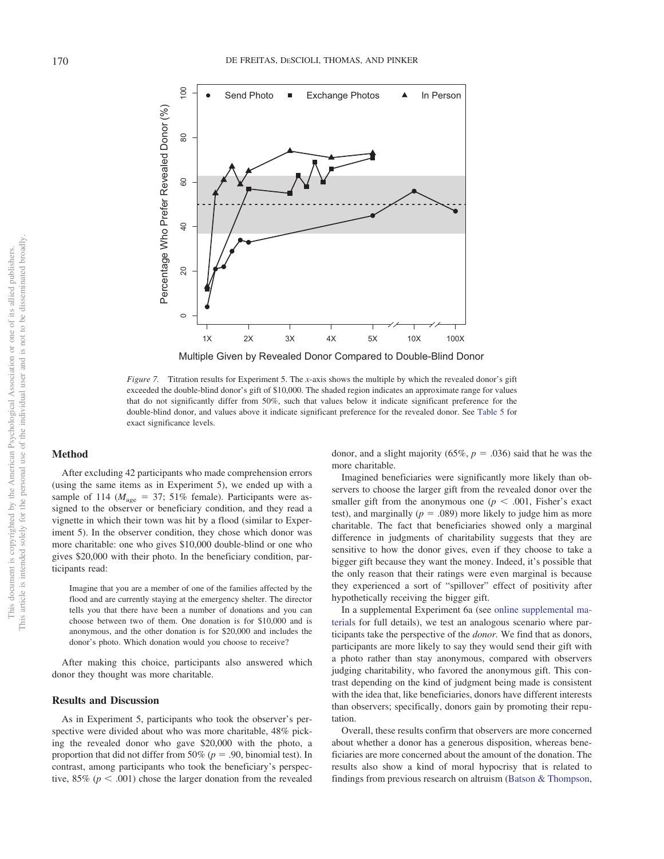

*Figure 7.* Titration results for Experiment 5. The *x*-axis shows the multiple by which the revealed donor's gift exceeded the double-blind donor's gift of \$10,000. The shaded region indicates an approximate range for values that do not significantly differ from 50%, such that values below it indicate significant preference for the double-blind donor, and values above it indicate significant preference for the revealed donor. See Table 5 for exact significance levels.

## **Method**

After excluding 42 participants who made comprehension errors (using the same items as in Experiment 5), we ended up with a sample of 114 ( $M_{\text{age}} = 37$ ; 51% female). Participants were assigned to the observer or beneficiary condition, and they read a vignette in which their town was hit by a flood (similar to Experiment 5). In the observer condition, they chose which donor was more charitable: one who gives \$10,000 double-blind or one who gives \$20,000 with their photo. In the beneficiary condition, participants read:

Imagine that you are a member of one of the families affected by the flood and are currently staying at the emergency shelter. The director tells you that there have been a number of donations and you can choose between two of them. One donation is for \$10,000 and is anonymous, and the other donation is for \$20,000 and includes the donor's photo. Which donation would you choose to receive?

After making this choice, participants also answered which donor they thought was more charitable.

#### **Results and Discussion**

As in Experiment 5, participants who took the observer's perspective were divided about who was more charitable, 48% picking the revealed donor who gave \$20,000 with the photo, a proportion that did not differ from 50% ( $p = .90$ , binomial test). In contrast, among participants who took the beneficiary's perspective,  $85\%$  ( $p < .001$ ) chose the larger donation from the revealed donor, and a slight majority (65%,  $p = .036$ ) said that he was the more charitable.

Imagined beneficiaries were significantly more likely than observers to choose the larger gift from the revealed donor over the smaller gift from the anonymous one ( $p < .001$ , Fisher's exact test), and marginally  $(p = .089)$  more likely to judge him as more charitable. The fact that beneficiaries showed only a marginal difference in judgments of charitability suggests that they are sensitive to how the donor gives, even if they choose to take a bigger gift because they want the money. Indeed, it's possible that the only reason that their ratings were even marginal is because they experienced a sort of "spillover" effect of positivity after hypothetically receiving the bigger gift.

In a supplemental Experiment 6a (see online supplemental materials for full details), we test an analogous scenario where participants take the perspective of the *donor.* We find that as donors, participants are more likely to say they would send their gift with a photo rather than stay anonymous, compared with observers judging charitability, who favored the anonymous gift. This contrast depending on the kind of judgment being made is consistent with the idea that, like beneficiaries, donors have different interests than observers; specifically, donors gain by promoting their reputation.

Overall, these results confirm that observers are more concerned about whether a donor has a generous disposition, whereas beneficiaries are more concerned about the amount of the donation. The results also show a kind of moral hypocrisy that is related to findings from previous research on altruism (Batson & Thompson,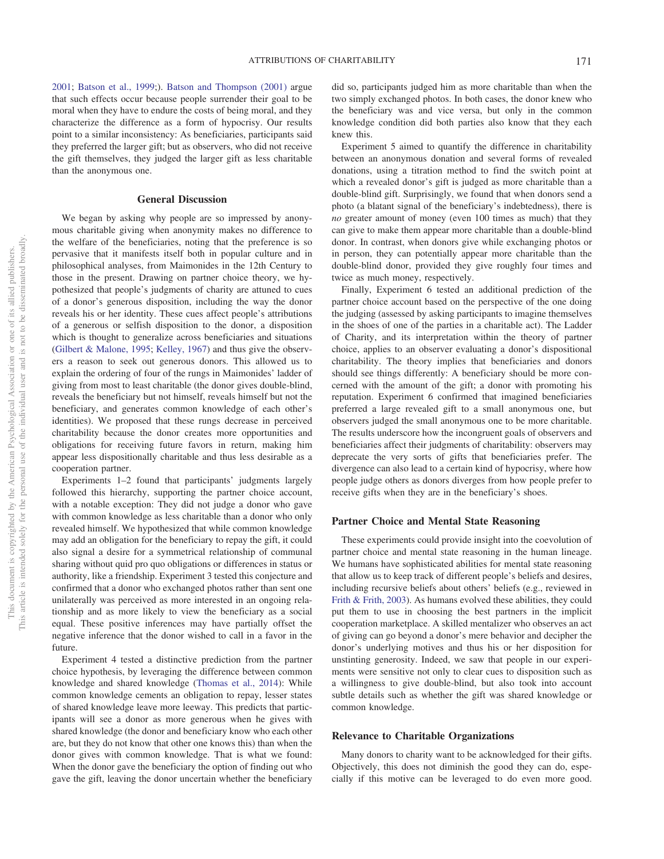2001; Batson et al., 1999;). Batson and Thompson (2001) argue that such effects occur because people surrender their goal to be moral when they have to endure the costs of being moral, and they characterize the difference as a form of hypocrisy. Our results point to a similar inconsistency: As beneficiaries, participants said they preferred the larger gift; but as observers, who did not receive the gift themselves, they judged the larger gift as less charitable than the anonymous one.

#### **General Discussion**

We began by asking why people are so impressed by anonymous charitable giving when anonymity makes no difference to the welfare of the beneficiaries, noting that the preference is so pervasive that it manifests itself both in popular culture and in philosophical analyses, from Maimonides in the 12th Century to those in the present. Drawing on partner choice theory, we hypothesized that people's judgments of charity are attuned to cues of a donor's generous disposition, including the way the donor reveals his or her identity. These cues affect people's attributions of a generous or selfish disposition to the donor, a disposition which is thought to generalize across beneficiaries and situations (Gilbert & Malone, 1995; Kelley, 1967) and thus give the observers a reason to seek out generous donors. This allowed us to explain the ordering of four of the rungs in Maimonides' ladder of giving from most to least charitable (the donor gives double-blind, reveals the beneficiary but not himself, reveals himself but not the beneficiary, and generates common knowledge of each other's identities). We proposed that these rungs decrease in perceived charitability because the donor creates more opportunities and obligations for receiving future favors in return, making him appear less dispositionally charitable and thus less desirable as a cooperation partner.

Experiments 1–2 found that participants' judgments largely followed this hierarchy, supporting the partner choice account, with a notable exception: They did not judge a donor who gave with common knowledge as less charitable than a donor who only revealed himself. We hypothesized that while common knowledge may add an obligation for the beneficiary to repay the gift, it could also signal a desire for a symmetrical relationship of communal sharing without quid pro quo obligations or differences in status or authority, like a friendship. Experiment 3 tested this conjecture and confirmed that a donor who exchanged photos rather than sent one unilaterally was perceived as more interested in an ongoing relationship and as more likely to view the beneficiary as a social equal. These positive inferences may have partially offset the negative inference that the donor wished to call in a favor in the future.

Experiment 4 tested a distinctive prediction from the partner choice hypothesis, by leveraging the difference between common knowledge and shared knowledge (Thomas et al., 2014): While common knowledge cements an obligation to repay, lesser states of shared knowledge leave more leeway. This predicts that participants will see a donor as more generous when he gives with shared knowledge (the donor and beneficiary know who each other are, but they do not know that other one knows this) than when the donor gives with common knowledge. That is what we found: When the donor gave the beneficiary the option of finding out who gave the gift, leaving the donor uncertain whether the beneficiary

did so, participants judged him as more charitable than when the two simply exchanged photos. In both cases, the donor knew who the beneficiary was and vice versa, but only in the common knowledge condition did both parties also know that they each knew this.

Experiment 5 aimed to quantify the difference in charitability between an anonymous donation and several forms of revealed donations, using a titration method to find the switch point at which a revealed donor's gift is judged as more charitable than a double-blind gift. Surprisingly, we found that when donors send a photo (a blatant signal of the beneficiary's indebtedness), there is *no* greater amount of money (even 100 times as much) that they can give to make them appear more charitable than a double-blind donor. In contrast, when donors give while exchanging photos or in person, they can potentially appear more charitable than the double-blind donor, provided they give roughly four times and twice as much money, respectively.

Finally, Experiment 6 tested an additional prediction of the partner choice account based on the perspective of the one doing the judging (assessed by asking participants to imagine themselves in the shoes of one of the parties in a charitable act). The Ladder of Charity, and its interpretation within the theory of partner choice, applies to an observer evaluating a donor's dispositional charitability. The theory implies that beneficiaries and donors should see things differently: A beneficiary should be more concerned with the amount of the gift; a donor with promoting his reputation. Experiment 6 confirmed that imagined beneficiaries preferred a large revealed gift to a small anonymous one, but observers judged the small anonymous one to be more charitable. The results underscore how the incongruent goals of observers and beneficiaries affect their judgments of charitability: observers may deprecate the very sorts of gifts that beneficiaries prefer. The divergence can also lead to a certain kind of hypocrisy, where how people judge others as donors diverges from how people prefer to receive gifts when they are in the beneficiary's shoes.

#### **Partner Choice and Mental State Reasoning**

These experiments could provide insight into the coevolution of partner choice and mental state reasoning in the human lineage. We humans have sophisticated abilities for mental state reasoning that allow us to keep track of different people's beliefs and desires, including recursive beliefs about others' beliefs (e.g., reviewed in Frith & Frith, 2003). As humans evolved these abilities, they could put them to use in choosing the best partners in the implicit cooperation marketplace. A skilled mentalizer who observes an act of giving can go beyond a donor's mere behavior and decipher the donor's underlying motives and thus his or her disposition for unstinting generosity. Indeed, we saw that people in our experiments were sensitive not only to clear cues to disposition such as a willingness to give double-blind, but also took into account subtle details such as whether the gift was shared knowledge or common knowledge.

#### **Relevance to Charitable Organizations**

Many donors to charity want to be acknowledged for their gifts. Objectively, this does not diminish the good they can do, especially if this motive can be leveraged to do even more good.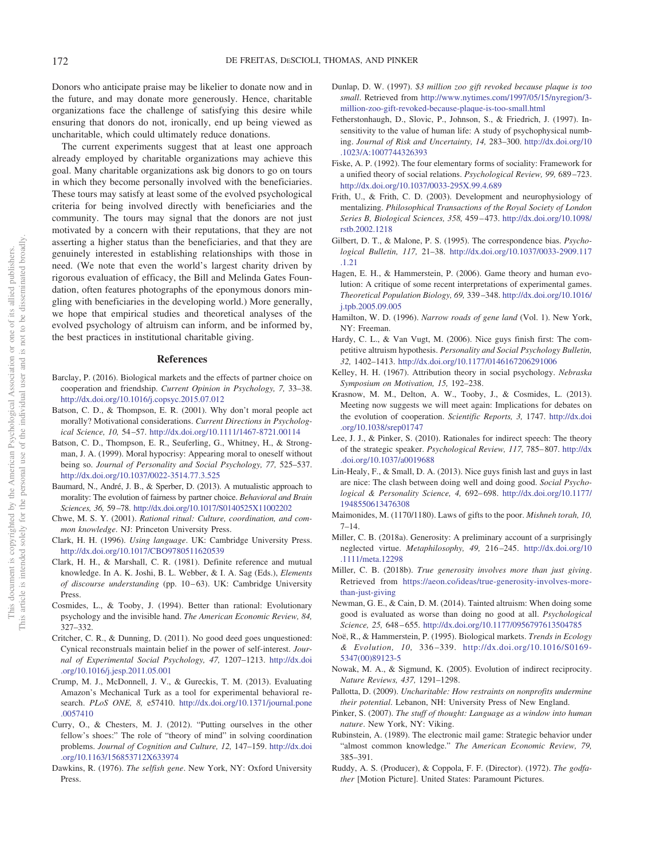Donors who anticipate praise may be likelier to donate now and in the future, and may donate more generously. Hence, charitable organizations face the challenge of satisfying this desire while ensuring that donors do not, ironically, end up being viewed as uncharitable, which could ultimately reduce donations.

The current experiments suggest that at least one approach already employed by charitable organizations may achieve this goal. Many charitable organizations ask big donors to go on tours in which they become personally involved with the beneficiaries. These tours may satisfy at least some of the evolved psychological criteria for being involved directly with beneficiaries and the community. The tours may signal that the donors are not just motivated by a concern with their reputations, that they are not asserting a higher status than the beneficiaries, and that they are genuinely interested in establishing relationships with those in need. (We note that even the world's largest charity driven by rigorous evaluation of efficacy, the Bill and Melinda Gates Foundation, often features photographs of the eponymous donors mingling with beneficiaries in the developing world.) More generally, we hope that empirical studies and theoretical analyses of the evolved psychology of altruism can inform, and be informed by, the best practices in institutional charitable giving.

#### **References**

- Barclay, P. (2016). Biological markets and the effects of partner choice on cooperation and friendship. *Current Opinion in Psychology, 7,* 33–38. http://dx.doi.org/10.1016/j.copsyc.2015.07.012
- Batson, C. D., & Thompson, E. R. (2001). Why don't moral people act morally? Motivational considerations. *Current Directions in Psychological Science, 10,* 54 –57. http://dx.doi.org/10.1111/1467-8721.00114
- Batson, C. D., Thompson, E. R., Seuferling, G., Whitney, H., & Strongman, J. A. (1999). Moral hypocrisy: Appearing moral to oneself without being so. *Journal of Personality and Social Psychology, 77,* 525–537. http://dx.doi.org/10.1037/0022-3514.77.3.525
- Baumard, N., André, J. B., & Sperber, D. (2013). A mutualistic approach to morality: The evolution of fairness by partner choice. *Behavioral and Brain Sciences, 36,* 59 –78. http://dx.doi.org/10.1017/S0140525X11002202
- Chwe, M. S. Y. (2001). *Rational ritual: Culture, coordination, and common knowledge*. NJ: Princeton University Press.
- Clark, H. H. (1996). *Using language*. UK: Cambridge University Press. http://dx.doi.org/10.1017/CBO9780511620539
- Clark, H. H., & Marshall, C. R. (1981). Definite reference and mutual knowledge. In A. K. Joshi, B. L. Webber, & I. A. Sag (Eds.), *Elements* of discourse understanding (pp. 10-63). UK: Cambridge University Press.
- Cosmides, L., & Tooby, J. (1994). Better than rational: Evolutionary psychology and the invisible hand. *The American Economic Review, 84,* 327–332.
- Critcher, C. R., & Dunning, D. (2011). No good deed goes unquestioned: Cynical reconstruals maintain belief in the power of self-interest. *Journal of Experimental Social Psychology, 47,* 1207–1213. http://dx.doi .org/10.1016/j.jesp.2011.05.001
- Crump, M. J., McDonnell, J. V., & Gureckis, T. M. (2013). Evaluating Amazon's Mechanical Turk as a tool for experimental behavioral research. *PLoS ONE, 8,* e57410. http://dx.doi.org/10.1371/journal.pone .0057410
- Curry, O., & Chesters, M. J. (2012). "Putting ourselves in the other fellow's shoes:" The role of "theory of mind" in solving coordination problems. *Journal of Cognition and Culture, 12,* 147–159. http://dx.doi .org/10.1163/156853712X633974
- Dawkins, R. (1976). *The selfish gene*. New York, NY: Oxford University Press.
- Dunlap, D. W. (1997). *\$3 million zoo gift revoked because plaque is too small*. Retrieved from http://www.nytimes.com/1997/05/15/nyregion/3 million-zoo-gift-revoked-because-plaque-is-too-small.html
- Fetherstonhaugh, D., Slovic, P., Johnson, S., & Friedrich, J. (1997). Insensitivity to the value of human life: A study of psychophysical numbing. *Journal of Risk and Uncertainty, 14,* 283–300. http://dx.doi.org/10 .1023/A:1007744326393
- Fiske, A. P. (1992). The four elementary forms of sociality: Framework for a unified theory of social relations. *Psychological Review, 99,* 689 –723. http://dx.doi.org/10.1037/0033-295X.99.4.689
- Frith, U., & Frith, C. D. (2003). Development and neurophysiology of mentalizing. *Philosophical Transactions of the Royal Society of London Series B, Biological Sciences, 358,* 459 – 473. http://dx.doi.org/10.1098/ rstb.2002.1218
- Gilbert, D. T., & Malone, P. S. (1995). The correspondence bias. *Psychological Bulletin, 117,* 21–38. http://dx.doi.org/10.1037/0033-2909.117 .1.21
- Hagen, E. H., & Hammerstein, P. (2006). Game theory and human evolution: A critique of some recent interpretations of experimental games. *Theoretical Population Biology, 69,* 339 –348. http://dx.doi.org/10.1016/ j.tpb.2005.09.005
- Hamilton, W. D. (1996). *Narrow roads of gene land* (Vol. 1). New York, NY: Freeman.
- Hardy, C. L., & Van Vugt, M. (2006). Nice guys finish first: The competitive altruism hypothesis. *Personality and Social Psychology Bulletin, 32,* 1402–1413. http://dx.doi.org/10.1177/0146167206291006
- Kelley, H. H. (1967). Attribution theory in social psychology. *Nebraska Symposium on Motivation, 15,* 192–238.
- Krasnow, M. M., Delton, A. W., Tooby, J., & Cosmides, L. (2013). Meeting now suggests we will meet again: Implications for debates on the evolution of cooperation. *Scientific Reports, 3,* 1747. http://dx.doi .org/10.1038/srep01747
- Lee, J. J., & Pinker, S. (2010). Rationales for indirect speech: The theory of the strategic speaker. *Psychological Review, 117,* 785– 807. http://dx .doi.org/10.1037/a0019688
- Lin-Healy, F., & Small, D. A. (2013). Nice guys finish last and guys in last are nice: The clash between doing well and doing good. *Social Psychological & Personality Science, 4,* 692– 698. http://dx.doi.org/10.1177/ 1948550613476308
- Maimonides, M. (1170/1180). Laws of gifts to the poor. *Mishneh torah, 10,* 7–14.
- Miller, C. B. (2018a). Generosity: A preliminary account of a surprisingly neglected virtue. *Metaphilosophy, 49,* 216 –245. http://dx.doi.org/10 .1111/meta.12298
- Miller, C. B. (2018b). *True generosity involves more than just giving*. Retrieved from https://aeon.co/ideas/true-generosity-involves-morethan-just-giving
- Newman, G. E., & Cain, D. M. (2014). Tainted altruism: When doing some good is evaluated as worse than doing no good at all. *Psychological Science, 25,* 648 – 655. http://dx.doi.org/10.1177/0956797613504785
- Noë, R., & Hammerstein, P. (1995). Biological markets. *Trends in Ecology & Evolution, 10,* 336 –339. http://dx.doi.org/10.1016/S0169- 5347(00)89123-5
- Nowak, M. A., & Sigmund, K. (2005). Evolution of indirect reciprocity. *Nature Reviews, 437,* 1291–1298.
- Pallotta, D. (2009). *Uncharitable: How restraints on nonprofits undermine their potential*. Lebanon, NH: University Press of New England.
- Pinker, S. (2007). *The stuff of thought: Language as a window into human nature*. New York, NY: Viking.
- Rubinstein, A. (1989). The electronic mail game: Strategic behavior under "almost common knowledge." *The American Economic Review, 79,* 385–391.
- Ruddy, A. S. (Producer), & Coppola, F. F. (Director). (1972). *The godfather* [Motion Picture]. United States: Paramount Pictures.